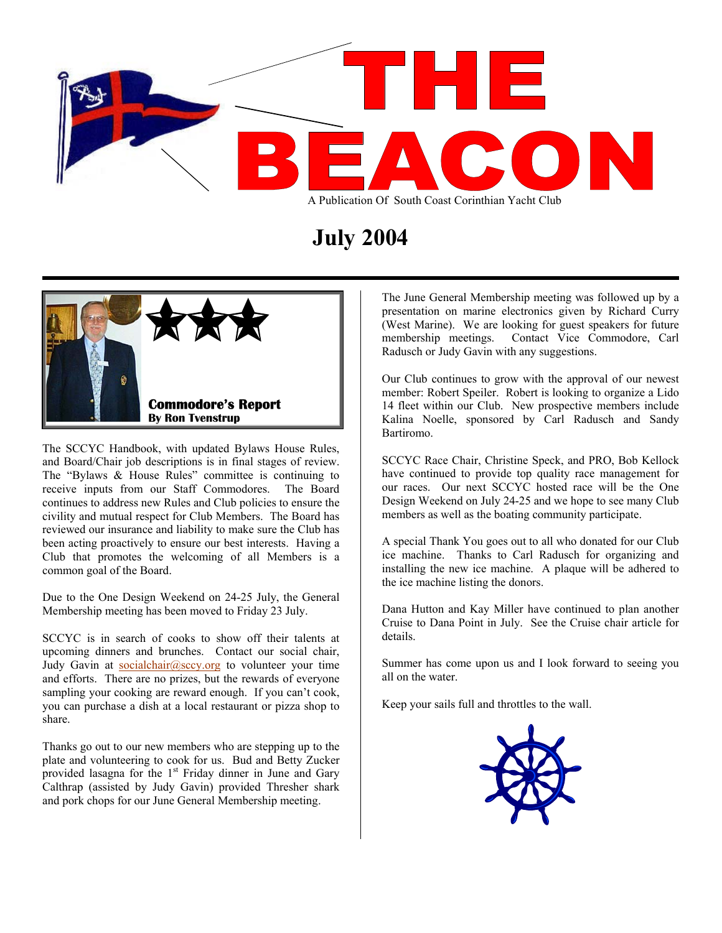

## **July 2004**



The SCCYC Handbook, with updated Bylaws House Rules, and Board/Chair job descriptions is in final stages of review. The "Bylaws & House Rules" committee is continuing to receive inputs from our Staff Commodores. The Board continues to address new Rules and Club policies to ensure the civility and mutual respect for Club Members. The Board has reviewed our insurance and liability to make sure the Club has been acting proactively to ensure our best interests. Having a Club that promotes the welcoming of all Members is a common goal of the Board.

Due to the One Design Weekend on 24-25 July, the General Membership meeting has been moved to Friday 23 July. Dana Hutton and Kay Miller have continued to plan another

SCCYC is in search of cooks to show off their talents at details. upcoming dinners and brunches. Contact our social chair, Judy Gavin at [socialchair@sccy.org](mailto:socialchair@sccy.org) to volunteer your time and efforts. There are no prizes, but the rewards of everyone sampling your cooking are reward enough. If you can't cook, you can purchase a dish at a local restaurant or pizza shop to share.

Thanks go out to our new members who are stepping up to the plate and volunteering to cook for us. Bud and Betty Zucker provided lasagna for the  $1<sup>st</sup>$  Friday dinner in June and Gary Calthrap (assisted by Judy Gavin) provided Thresher shark and pork chops for our June General Membership meeting.

The June General Membership meeting was followed up by a presentation on marine electronics given by Richard Curry (West Marine). We are looking for guest speakers for future membership meetings. Contact Vice Commodore, Carl Radusch or Judy Gavin with any suggestions.

Our Club continues to grow with the approval of our newest member: Robert Speiler. Robert is looking to organize a Lido 14 fleet within our Club. New prospective members include Kalina Noelle, sponsored by Carl Radusch and Sandy Bartiromo.

SCCYC Race Chair, Christine Speck, and PRO, Bob Kellock have continued to provide top quality race management for our races. Our next SCCYC hosted race will be the One Design Weekend on July 24-25 and we hope to see many Club members as well as the boating community participate.

A special Thank You goes out to all who donated for our Club ice machine. Thanks to Carl Radusch for organizing and installing the new ice machine. A plaque will be adhered to the ice machine listing the donors.

Cruise to Dana Point in July. See the Cruise chair article for

Summer has come upon us and I look forward to seeing you all on the water.

Keep your sails full and throttles to the wall.

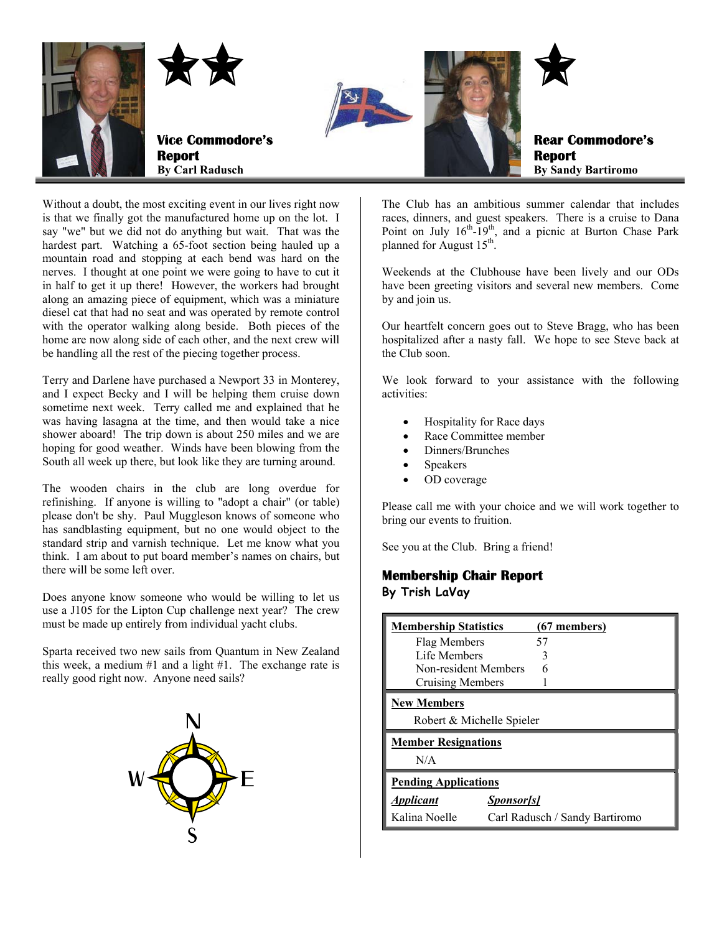

Without a doubt, the most exciting event in our lives right now is that we finally got the manufactured home up on the lot. I say "we" but we did not do anything but wait. That was the hardest part. Watching a 65-foot section being hauled up a mountain road and stopping at each bend was hard on the nerves. I thought at one point we were going to have to cut it in half to get it up there! However, the workers had brought along an amazing piece of equipment, which was a miniature diesel cat that had no seat and was operated by remote control with the operator walking along beside. Both pieces of the home are now along side of each other, and the next crew will be handling all the rest of the piecing together process.

Terry and Darlene have purchased a Newport 33 in Monterey, and I expect Becky and I will be helping them cruise down sometime next week. Terry called me and explained that he was having lasagna at the time, and then would take a nice shower aboard! The trip down is about 250 miles and we are hoping for good weather. Winds have been blowing from the South all week up there, but look like they are turning around.

The wooden chairs in the club are long overdue for refinishing. If anyone is willing to "adopt a chair" (or table) please don't be shy. Paul Muggleson knows of someone who has sandblasting equipment, but no one would object to the standard strip and varnish technique. Let me know what you think. I am about to put board member's names on chairs, but there will be some left over.

Does anyone know someone who would be willing to let us use a J105 for the Lipton Cup challenge next year? The crew must be made up entirely from individual yacht clubs.

Sparta received two new sails from Quantum in New Zealand this week, a medium #1 and a light #1. The exchange rate is really good right now. Anyone need sails?



The Club has an ambitious summer calendar that includes races, dinners, and guest speakers. There is a cruise to Dana Point on July  $16<sup>th</sup>$ -19<sup>th</sup>, and a picnic at Burton Chase Park planned for August  $15<sup>th</sup>$ .

Weekends at the Clubhouse have been lively and our ODs have been greeting visitors and several new members. Come by and join us.

Our heartfelt concern goes out to Steve Bragg, who has been hospitalized after a nasty fall. We hope to see Steve back at the Club soon.

We look forward to your assistance with the following activities:

- Hospitality for Race days
- Race Committee member
- Dinners/Brunches
- **Speakers**
- OD coverage

Please call me with your choice and we will work together to bring our events to fruition.

See you at the Club. Bring a friend!

#### **Membership Chair Report**

**By Trish LaVay** 

| <b>Membership Statistics</b> | $(67$ members)                 |  |
|------------------------------|--------------------------------|--|
| Flag Members                 | 57                             |  |
| Life Members                 |                                |  |
| Non-resident Members         |                                |  |
| Cruising Members             |                                |  |
| <b>New Members</b>           |                                |  |
| Robert & Michelle Spieler    |                                |  |
| <b>Member Resignations</b>   |                                |  |
| N/A                          |                                |  |
| <b>Pending Applications</b>  |                                |  |
| <b>Applicant</b>             | <i>Sponsor[s]</i>              |  |
| Kalina Noelle                | Carl Radusch / Sandy Bartiromo |  |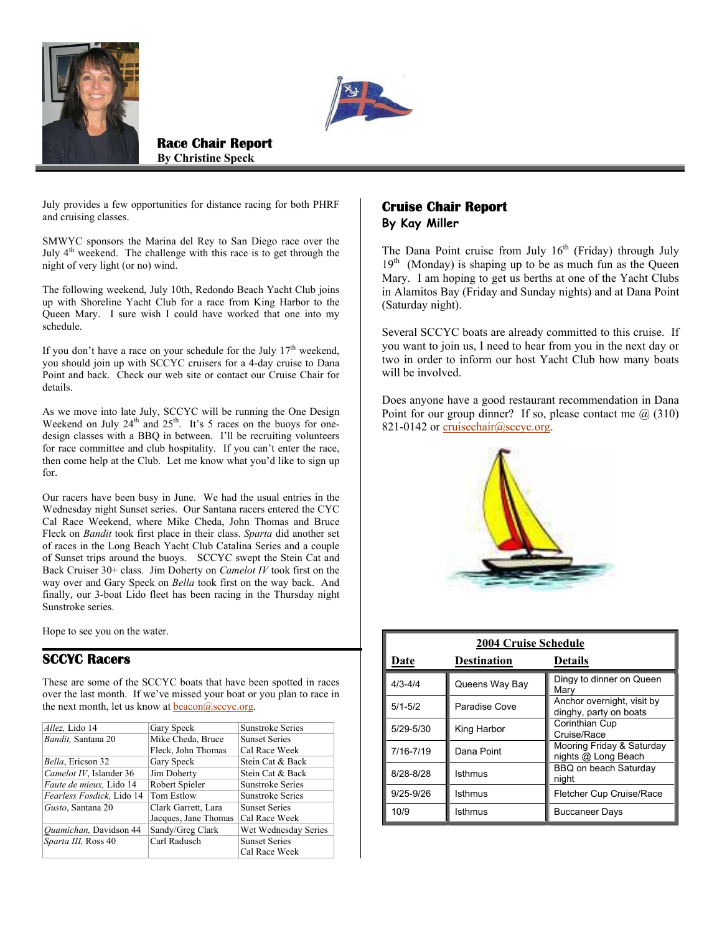



**Race Chair Report By Christine Speck**

July provides a few opportunities for distance racing for both PHRF and cruising classes.

SMWYC sponsors the Marina del Rey to San Diego race over the July 4<sup>th</sup> weekend. The challenge with this race is to get through the night of very light (or no) wind.

The following weekend, July 10th, Redondo Beach Yacht Club joins up with Shoreline Yacht Club for a race from King Harbor to the Queen Mary. I sure wish I could have worked that one into my schedule.

If you don't have a race on your schedule for the July  $17<sup>th</sup>$  weekend, you should join up with SCCYC cruisers for a 4-day cruise to Dana Point and back. Check our web site or contact our Cruise Chair for details.

As we move into late July, SCCYC will be running the One Design Weekend on July  $24<sup>th</sup>$  and  $25<sup>th</sup>$ . It's 5 races on the buoys for onedesign classes with a BBQ in between. I'll be recruiting volunteers for race committee and club hospitality. If you can't enter the race, then come help at the Club. Let me know what you'd like to sign up for.

Our racers have been busy in June. We had the usual entries in the Wednesday night Sunset series. Our Santana racers entered the CYC Cal Race Weekend, where Mike Cheda, John Thomas and Bruce Fleck on *Bandit* took first place in their class. *Sparta* did another set of races in the Long Beach Yacht Club Catalina Series and a couple of Sunset trips around the buoys.SCCYC swept the Stein Cat and Back Cruiser 30+ class. Jim Doherty on *Camelot IV* took first on the way over and Gary Speck on *Bella* took first on the way back. And finally, our 3-boat Lido fleet has been racing in the Thursday night Sunstroke series.

Hope to see you on the water.

#### **SCCYC Racers**

These are some of the SCCYC boats that have been spotted in races over the last month. If we've missed your boat or you plan to race in the next month, let us know at  $\frac{beacon(\theta)$ sccyc.org.

| Allez, Lido 14            | Gary Speck           | Sunstroke Series     |
|---------------------------|----------------------|----------------------|
| Bandit, Santana 20        | Mike Cheda, Bruce    | <b>Sunset Series</b> |
|                           | Fleck, John Thomas   | Cal Race Week        |
| Bella, Ericson 32         | Gary Speck           | Stein Cat & Back     |
| Camelot IV, Islander 36   | Jim Doherty          | Stein Cat & Back     |
| Faute de mieux, Lido 14   | Robert Spieler       | Sunstroke Series     |
| Fearless Fosdick, Lido 14 | <b>Tom Estlow</b>    | Sunstroke Series     |
| Gusto, Santana 20         | Clark Garrett, Lara  | <b>Sunset Series</b> |
|                           | Jacques, Jane Thomas | Cal Race Week        |
| Quamichan, Davidson 44    | Sandy/Greg Clark     | Wet Wednesday Series |
| Sparta III, Ross 40       | Carl Radusch         | <b>Sunset Series</b> |
|                           |                      | Cal Race Week        |

### **Cruise Chair Report By Kay Miller**

The Dana Point cruise from July  $16<sup>th</sup>$  (Friday) through July  $19<sup>th</sup>$  (Monday) is shaping up to be as much fun as the Queen Mary. I am hoping to get us berths at one of the Yacht Clubs in Alamitos Bay (Friday and Sunday nights) and at Dana Point (Saturday night).

Several SCCYC boats are already committed to this cruise. If you want to join us, I need to hear from you in the next day or two in order to inform our host Yacht Club how many boats will be involved.

Does anyone have a good restaurant recommendation in Dana Point for our group dinner? If so, please contact me  $(a)$  (310) 821-0142 or [cruisechair@sccyc.org.](mailto:cruisechair@sccyc.org)



| <b>2004 Cruise Schedule</b> |                    |                                                      |  |  |  |
|-----------------------------|--------------------|------------------------------------------------------|--|--|--|
| Date                        | <b>Destination</b> | <b>Details</b>                                       |  |  |  |
| $4/3 - 4/4$                 | Queens Way Bay     | Dingy to dinner on Queen<br>Mary                     |  |  |  |
| $5/1 - 5/2$                 | Paradise Cove      | Anchor overnight, visit by<br>dinghy, party on boats |  |  |  |
| 5/29-5/30                   | King Harbor        | Corinthian Cup<br>Cruise/Race                        |  |  |  |
| 7/16-7/19                   | Dana Point         | Mooring Friday & Saturday<br>nights @ Long Beach     |  |  |  |
| 8/28-8/28                   | Isthmus            | BBQ on beach Saturdav<br>night                       |  |  |  |
| $9/25 - 9/26$               | Isthmus            | Fletcher Cup Cruise/Race                             |  |  |  |
| 10/9                        | Isthmus            | <b>Buccaneer Days</b>                                |  |  |  |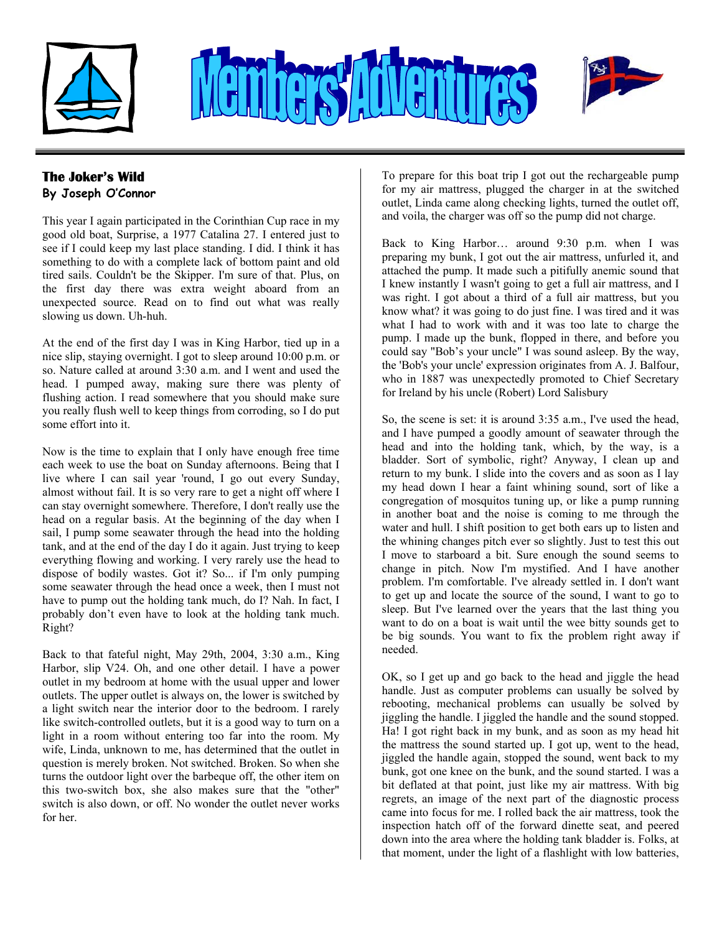

# 



## **The Joker's Wild**

**By Joseph O'Connor** 

This year I again participated in the Corinthian Cup race in my good old boat, Surprise, a 1977 Catalina 27. I entered just to see if I could keep my last place standing. I did. I think it has something to do with a complete lack of bottom paint and old tired sails. Couldn't be the Skipper. I'm sure of that. Plus, on the first day there was extra weight aboard from an unexpected source. Read on to find out what was really slowing us down. Uh-huh.

At the end of the first day I was in King Harbor, tied up in a nice slip, staying overnight. I got to sleep around 10:00 p.m. or so. Nature called at around 3:30 a.m. and I went and used the head. I pumped away, making sure there was plenty of flushing action. I read somewhere that you should make sure you really flush well to keep things from corroding, so I do put some effort into it.

Now is the time to explain that I only have enough free time each week to use the boat on Sunday afternoons. Being that I live where I can sail year 'round, I go out every Sunday, almost without fail. It is so very rare to get a night off where I can stay overnight somewhere. Therefore, I don't really use the head on a regular basis. At the beginning of the day when I sail, I pump some seawater through the head into the holding tank, and at the end of the day I do it again. Just trying to keep everything flowing and working. I very rarely use the head to dispose of bodily wastes. Got it? So... if I'm only pumping some seawater through the head once a week, then I must not have to pump out the holding tank much, do I? Nah. In fact, I probably don't even have to look at the holding tank much. Right?

Back to that fateful night, May 29th, 2004, 3:30 a.m., King Harbor, slip V24. Oh, and one other detail. I have a power outlet in my bedroom at home with the usual upper and lower outlets. The upper outlet is always on, the lower is switched by a light switch near the interior door to the bedroom. I rarely like switch-controlled outlets, but it is a good way to turn on a light in a room without entering too far into the room. My wife, Linda, unknown to me, has determined that the outlet in question is merely broken. Not switched. Broken. So when she turns the outdoor light over the barbeque off, the other item on this two-switch box, she also makes sure that the "other" switch is also down, or off. No wonder the outlet never works for her.

To prepare for this boat trip I got out the rechargeable pump for my air mattress, plugged the charger in at the switched outlet, Linda came along checking lights, turned the outlet off, and voila, the charger was off so the pump did not charge.

Back to King Harbor… around 9:30 p.m. when I was preparing my bunk, I got out the air mattress, unfurled it, and attached the pump. It made such a pitifully anemic sound that I knew instantly I wasn't going to get a full air mattress, and I was right. I got about a third of a full air mattress, but you know what? it was going to do just fine. I was tired and it was what I had to work with and it was too late to charge the pump. I made up the bunk, flopped in there, and before you could say "Bob's your uncle" I was sound asleep. By the way, the 'Bob's your uncle' expression originates from A. J. Balfour, who in 1887 was unexpectedly promoted to Chief Secretary for Ireland by his uncle (Robert) Lord Salisbury

So, the scene is set: it is around 3:35 a.m., I've used the head, and I have pumped a goodly amount of seawater through the head and into the holding tank, which, by the way, is a bladder. Sort of symbolic, right? Anyway, I clean up and return to my bunk. I slide into the covers and as soon as I lay my head down I hear a faint whining sound, sort of like a congregation of mosquitos tuning up, or like a pump running in another boat and the noise is coming to me through the water and hull. I shift position to get both ears up to listen and the whining changes pitch ever so slightly. Just to test this out I move to starboard a bit. Sure enough the sound seems to change in pitch. Now I'm mystified. And I have another problem. I'm comfortable. I've already settled in. I don't want to get up and locate the source of the sound, I want to go to sleep. But I've learned over the years that the last thing you want to do on a boat is wait until the wee bitty sounds get to be big sounds. You want to fix the problem right away if needed.

OK, so I get up and go back to the head and jiggle the head handle. Just as computer problems can usually be solved by rebooting, mechanical problems can usually be solved by jiggling the handle. I jiggled the handle and the sound stopped. Ha! I got right back in my bunk, and as soon as my head hit the mattress the sound started up. I got up, went to the head, jiggled the handle again, stopped the sound, went back to my bunk, got one knee on the bunk, and the sound started. I was a bit deflated at that point, just like my air mattress. With big regrets, an image of the next part of the diagnostic process came into focus for me. I rolled back the air mattress, took the inspection hatch off of the forward dinette seat, and peered down into the area where the holding tank bladder is. Folks, at that moment, under the light of a flashlight with low batteries,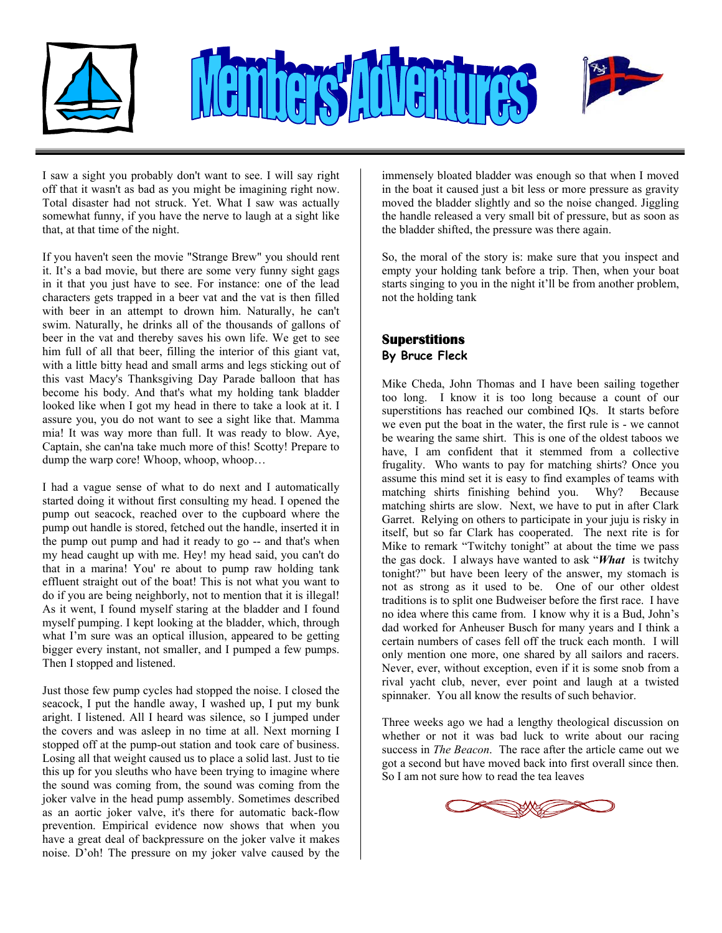

## 



I saw a sight you probably don't want to see. I will say right off that it wasn't as bad as you might be imagining right now. Total disaster had not struck. Yet. What I saw was actually somewhat funny, if you have the nerve to laugh at a sight like that, at that time of the night.

If you haven't seen the movie "Strange Brew" you should rent it. It's a bad movie, but there are some very funny sight gags in it that you just have to see. For instance: one of the lead characters gets trapped in a beer vat and the vat is then filled with beer in an attempt to drown him. Naturally, he can't swim. Naturally, he drinks all of the thousands of gallons of beer in the vat and thereby saves his own life. We get to see him full of all that beer, filling the interior of this giant vat, with a little bitty head and small arms and legs sticking out of this vast Macy's Thanksgiving Day Parade balloon that has become his body. And that's what my holding tank bladder looked like when I got my head in there to take a look at it. I assure you, you do not want to see a sight like that. Mamma mia! It was way more than full. It was ready to blow. Aye, Captain, she can'na take much more of this! Scotty! Prepare to dump the warp core! Whoop, whoop, whoop…

I had a vague sense of what to do next and I automatically started doing it without first consulting my head. I opened the pump out seacock, reached over to the cupboard where the pump out handle is stored, fetched out the handle, inserted it in the pump out pump and had it ready to go -- and that's when my head caught up with me. Hey! my head said, you can't do that in a marina! You' re about to pump raw holding tank effluent straight out of the boat! This is not what you want to do if you are being neighborly, not to mention that it is illegal! As it went, I found myself staring at the bladder and I found myself pumping. I kept looking at the bladder, which, through what I'm sure was an optical illusion, appeared to be getting bigger every instant, not smaller, and I pumped a few pumps. Then I stopped and listened.

Just those few pump cycles had stopped the noise. I closed the seacock, I put the handle away, I washed up, I put my bunk aright. I listened. All I heard was silence, so I jumped under the covers and was asleep in no time at all. Next morning I stopped off at the pump-out station and took care of business. Losing all that weight caused us to place a solid last. Just to tie this up for you sleuths who have been trying to imagine where the sound was coming from, the sound was coming from the joker valve in the head pump assembly. Sometimes described as an aortic joker valve, it's there for automatic back-flow prevention. Empirical evidence now shows that when you have a great deal of backpressure on the joker valve it makes noise. D'oh! The pressure on my joker valve caused by the

immensely bloated bladder was enough so that when I moved in the boat it caused just a bit less or more pressure as gravity moved the bladder slightly and so the noise changed. Jiggling the handle released a very small bit of pressure, but as soon as the bladder shifted, the pressure was there again.

So, the moral of the story is: make sure that you inspect and empty your holding tank before a trip. Then, when your boat starts singing to you in the night it'll be from another problem, not the holding tank

### **Superstitions By Bruce Fleck**

Mike Cheda, John Thomas and I have been sailing together too long. I know it is too long because a count of our superstitions has reached our combined IQs. It starts before we even put the boat in the water, the first rule is - we cannot be wearing the same shirt. This is one of the oldest taboos we have. I am confident that it stemmed from a collective frugality. Who wants to pay for matching shirts? Once you assume this mind set it is easy to find examples of teams with matching shirts finishing behind you. Why? Because matching shirts are slow. Next, we have to put in after Clark Garret. Relying on others to participate in your juju is risky in itself, but so far Clark has cooperated. The next rite is for Mike to remark "Twitchy tonight" at about the time we pass the gas dock. I always have wanted to ask "*What* is twitchy tonight?" but have been leery of the answer, my stomach is not as strong as it used to be. One of our other oldest traditions is to split one Budweiser before the first race. I have no idea where this came from. I know why it is a Bud, John's dad worked for Anheuser Busch for many years and I think a certain numbers of cases fell off the truck each month. I will only mention one more, one shared by all sailors and racers. Never, ever, without exception, even if it is some snob from a rival yacht club, never, ever point and laugh at a twisted spinnaker. You all know the results of such behavior.

Three weeks ago we had a lengthy theological discussion on whether or not it was bad luck to write about our racing success in *The Beacon*. The race after the article came out we got a second but have moved back into first overall since then. So I am not sure how to read the tea leaves

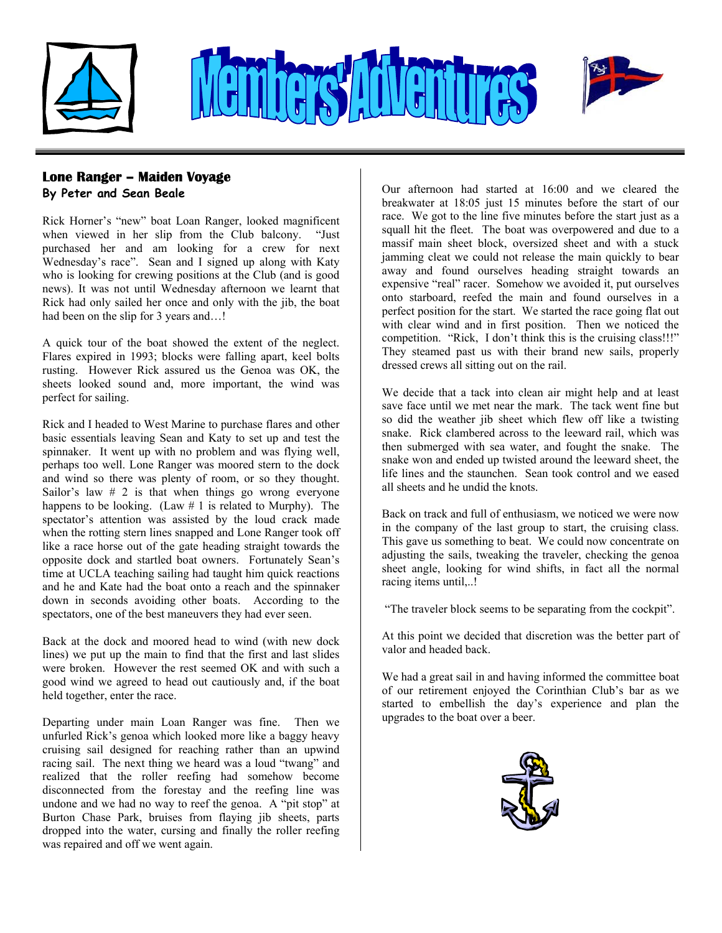



## **Lone Ranger – Maiden Voyage Contained at 2008 and a started at 16:00 and we cleared the <b>Parton Parties** Our afternoon had started at 16:00 and we cleared the

**By Peter and Sean Beale** 

Rick Horner's "new" boat Loan Ranger, looked magnificent when viewed in her slip from the Club balcony. "Just purchased her and am looking for a crew for next Wednesday's race". Sean and I signed up along with Katy who is looking for crewing positions at the Club (and is good news). It was not until Wednesday afternoon we learnt that Rick had only sailed her once and only with the jib, the boat had been on the slip for 3 years and...!

A quick tour of the boat showed the extent of the neglect. Flares expired in 1993; blocks were falling apart, keel bolts rusting. However Rick assured us the Genoa was OK, the sheets looked sound and, more important, the wind was perfect for sailing.

Rick and I headed to West Marine to purchase flares and other basic essentials leaving Sean and Katy to set up and test the spinnaker. It went up with no problem and was flying well, perhaps too well. Lone Ranger was moored stern to the dock and wind so there was plenty of room, or so they thought. Sailor's law  $# 2$  is that when things go wrong everyone happens to be looking. (Law  $# 1$  is related to Murphy). The spectator's attention was assisted by the loud crack made when the rotting stern lines snapped and Lone Ranger took off like a race horse out of the gate heading straight towards the opposite dock and startled boat owners. Fortunately Sean's time at UCLA teaching sailing had taught him quick reactions and he and Kate had the boat onto a reach and the spinnaker down in seconds avoiding other boats. According to the spectators, one of the best maneuvers they had ever seen.

Back at the dock and moored head to wind (with new dock  $\begin{array}{c} \text{At this point we decide} \\ \text{value} \end{array}$ lines) we put up the main to find that the first and last slides were broken. However the rest seemed OK and with such a good wind we agreed to head out cautiously and, if the boat held together, enter the race.

Departing under main Loan Ranger was fine. Then we **upgrades to the boat over a beer**. unfurled Rick's genoa which looked more like a baggy heavy cruising sail designed for reaching rather than an upwind racing sail. The next thing we heard was a loud "twang" and realized that the roller reefing had somehow become disconnected from the forestay and the reefing line was undone and we had no way to reef the genoa. A "pit stop" at Burton Chase Park, bruises from flaying jib sheets, parts dropped into the water, cursing and finally the roller reefing was repaired and off we went again.

breakwater at 18:05 just 15 minutes before the start of our race. We got to the line five minutes before the start just as a squall hit the fleet. The boat was overpowered and due to a massif main sheet block, oversized sheet and with a stuck jamming cleat we could not release the main quickly to bear away and found ourselves heading straight towards an expensive "real" racer. Somehow we avoided it, put ourselves onto starboard, reefed the main and found ourselves in a perfect position for the start. We started the race going flat out with clear wind and in first position. Then we noticed the competition. "Rick, I don't think this is the cruising class!!!" They steamed past us with their brand new sails, properly dressed crews all sitting out on the rail.

save face until we met near the mark. The tack went fine but so did the weather jib sheet which flew off like a twisting snake. Rick clambered across to the leeward rail, which was then submerged with sea water, and fought the snake. The snake won and ended up twisted around the leeward sheet, the life lines and the staunchen. Sean took control and we eased all sheets and he undid the knots.

Back on track and full of enthusiasm, we noticed we were now in the company of the last group to start, the cruising class. This gave us something to beat. We could now concentrate on adjusting the sails, tweaking the traveler, checking the genoa sheet angle, looking for wind shifts, in fact all the normal racing items until,..!

"The traveler block seems to be separating from the cockpit".

At this point we decided that discretion was the better part of

We had a great sail in and having informed the committee boat of our retirement enjoyed the Corinthian Club's bar as we started to embellish the day's experience and plan the

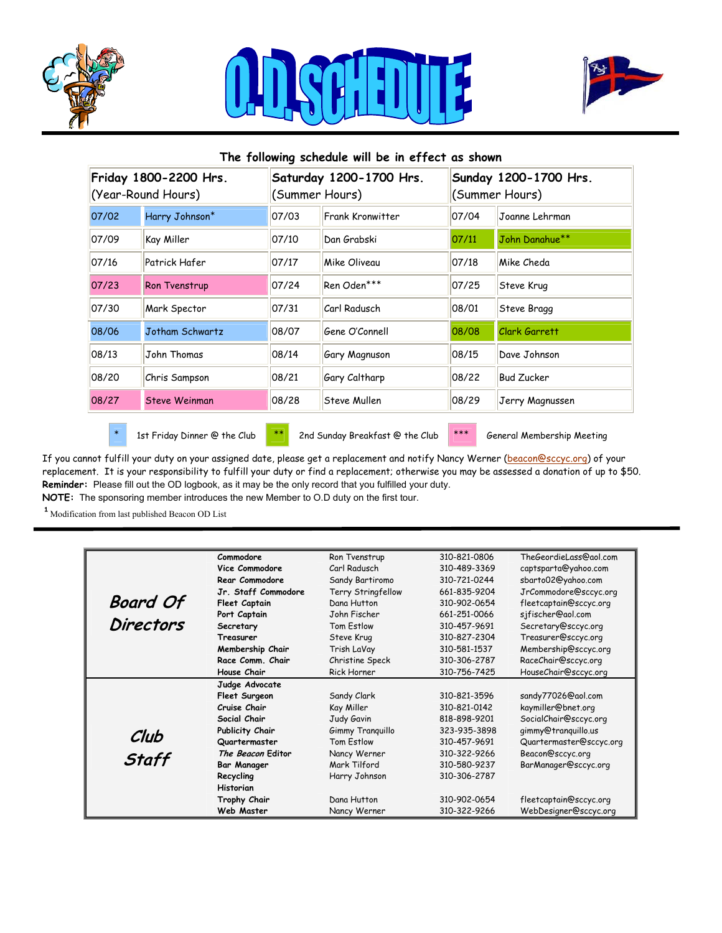





## **The following schedule will be in effect as shown Friday 1800-2200 Hrs.** (Year-Round Hours) **Saturday 1200-1700 Hrs.** (Summer Hours) **Sunday 1200-1700 Hrs.** (Summer Hours) 07/02 Harry Johnson\* 07/03 Frank Kronwitter 07/04 Joanne Lehrman 07/09 Kay Miller 07/10 Dan Grabski 07/11 John Danahue\*\* 07/16 Patrick Hafer 07/17 Mike Oliveau 07/18 Mike Cheda 07/23 Ron Tvenstrup 07/24 Ren Oden<sup>\*\*\*</sup> 07/25 Steve Krug 07/30 Mark Spector 07/31 Carl Radusch 08/01 Steve Bragg 08/06 Jotham Schwartz 08/07 Gene O'Connell 08/08 Clark Garrett 08/13 John Thomas 08/14 Gary Magnuson 08/15 Dave Johnson 08/20 Chris Sampson 08/21 Gary Caltharp 08/22 Bud Zucker 08/27 Steve Weinman 08/28 Steve Mullen 08/29 Jerry Magnussen

\* 1st Friday Dinner @ the Club  $\overset{***}{\phantom{}^{***}}$  2nd Sunday Breakfast @ the Club  $\overset{***}{\phantom{}^{***}}$  General Membership Meeting

If you cannot fulfill your duty on your assigned date, please get a replacement and notify Nancy Werner [\(beacon@sccyc.org](mailto:beacon@sccyc.org)) of your replacement. It is your responsibility to fulfill your duty or find a replacement; otherwise you may be assessed a donation of up to \$50. **Reminder:** Please fill out the OD logbook, as it may be the only record that you fulfilled your duty. **NOTE:** The sponsoring member introduces the new Member to O.D duty on the first tour.

<sup>1</sup> Modification from last published Beacon OD List

|                  | Commodore           | Ron Tvenstrup      | 310-821-0806 | TheGeordieLass@aol.com  |
|------------------|---------------------|--------------------|--------------|-------------------------|
|                  | Vice Commodore      | Carl Radusch       | 310-489-3369 | captsparta@yahoo.com    |
|                  | Rear Commodore      | Sandy Bartiromo    | 310-721-0244 | sbarto02@yahoo.com      |
|                  | Jr. Staff Commodore | Terry Stringfellow | 661-835-9204 | JrCommodore@sccyc.org   |
| <b>Board Of</b>  | Fleet Captain       | Dana Hutton        | 310-902-0654 | fleetcaptain@sccyc.org  |
|                  | Port Captain        | John Fischer       | 661-251-0066 | sjfischer@aol.com       |
| <b>Directors</b> | Secretary           | Tom Estlow         | 310-457-9691 | Secretary@sccyc.org     |
|                  | Treasurer           | Steve Krug         | 310-827-2304 | Treasurer@sccyc.org     |
|                  | Membership Chair    | Trish LaVay        | 310-581-1537 | Membership@sccyc.org    |
|                  | Race Comm. Chair    | Christine Speck    | 310-306-2787 | RaceChair@sccyc.org     |
|                  | House Chair         | <b>Rick Horner</b> | 310-756-7425 | HouseChair@sccyc.org    |
|                  | Judge Advocate      |                    |              |                         |
|                  | Fleet Surgeon       | Sandy Clark        | 310-821-3596 | sandy77026@aol.com      |
|                  | Cruise Chair        | Kay Miller         | 310-821-0142 | kaymiller@bnet.org      |
|                  | Social Chair        | Judy Gavin         | 818-898-9201 | SocialChair@sccyc.org   |
|                  | Publicity Chair     | Gimmy Tranguillo   | 323-935-3898 | gimmy@tranquillo.us     |
| Club             | Quartermaster       | Tom Estlow         | 310-457-9691 | Quartermaster@sccyc.org |
| <b>Staff</b>     | The Beacon Editor   | Nancy Werner       | 310-322-9266 | Beacon@sccyc.org        |
|                  | <b>Bar Manager</b>  | Mark Tilford       | 310-580-9237 | BarManager@sccyc.org    |
|                  | Recycling           | Harry Johnson      | 310-306-2787 |                         |
|                  | Historian           |                    |              |                         |
|                  | Trophy Chair        | Dana Hutton        | 310-902-0654 | fleetcaptain@sccyc.org  |
|                  | Web Master          | Nancy Werner       | 310-322-9266 | WebDesigner@sccyc.org   |